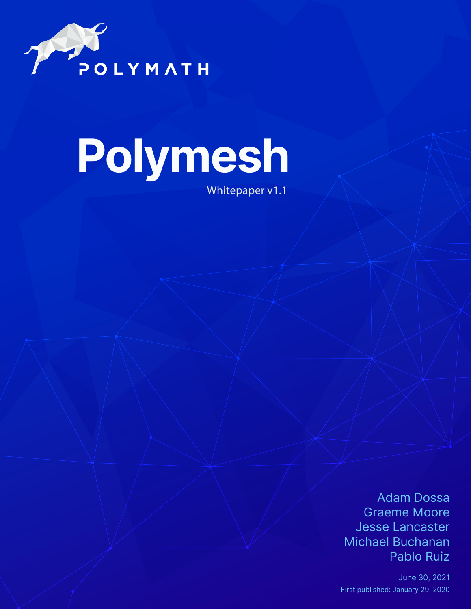

# **Polymesh**

Whitepaper v1.1

Adam Dossa Graeme Moore Jesse Lancaster Michael Buchanan Pablo Ruiz

June 30, 2021 First published: January 29, 2020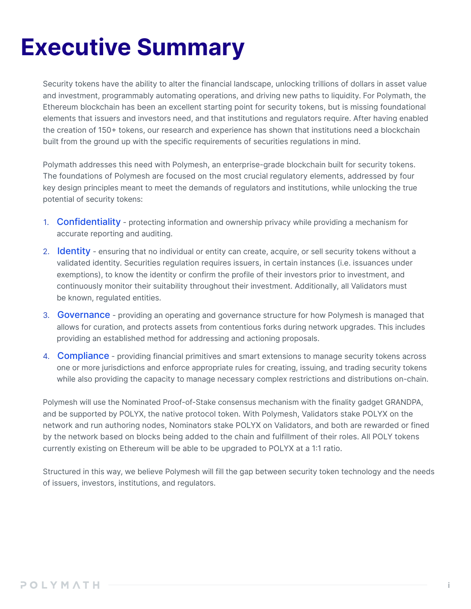### **Executive Summary**

Security tokens have the ability to alter the financial landscape, unlocking trillions of dollars in asset value and investment, programmably automating operations, and driving new paths to liquidity. For Polymath, the Ethereum blockchain has been an excellent starting point for security tokens, but is missing foundational elements that issuers and investors need, and that institutions and regulators require. After having enabled the creation of 150+ tokens, our research and experience has shown that institutions need a blockchain built from the ground up with the specific requirements of securities regulations in mind.

Polymath addresses this need with Polymesh, an enterprise-grade blockchain built for security tokens. The foundations of Polymesh are focused on the most crucial regulatory elements, addressed by four key design principles meant to meet the demands of regulators and institutions, while unlocking the true potential of security tokens:

- 1. Confidentiality protecting information and ownership privacy while providing a mechanism for accurate reporting and auditing.
- 2. Identity ensuring that no individual or entity can create, acquire, or sell security tokens without a validated identity. Securities regulation requires issuers, in certain instances (i.e. issuances under exemptions), to know the identity or confirm the profile of their investors prior to investment, and continuously monitor their suitability throughout their investment. Additionally, all Validators must be known, regulated entities.
- 3. Governance providing an operating and governance structure for how Polymesh is managed that allows for curation, and protects assets from contentious forks during network upgrades. This includes providing an established method for addressing and actioning proposals.
- 4. Compliance providing financial primitives and smart extensions to manage security tokens across one or more jurisdictions and enforce appropriate rules for creating, issuing, and trading security tokens while also providing the capacity to manage necessary complex restrictions and distributions on-chain.

Polymesh will use the Nominated Proof-of-Stake consensus mechanism with the finality gadget GRANDPA, and be supported by POLYX, the native protocol token. With Polymesh, Validators stake POLYX on the network and run authoring nodes, Nominators stake POLYX on Validators, and both are rewarded or fined by the network based on blocks being added to the chain and fulfillment of their roles. All POLY tokens currently existing on Ethereum will be able to be upgraded to POLYX at a 1:1 ratio.

Structured in this way, we believe Polymesh will fill the gap between security token technology and the needs of issuers, investors, institutions, and regulators.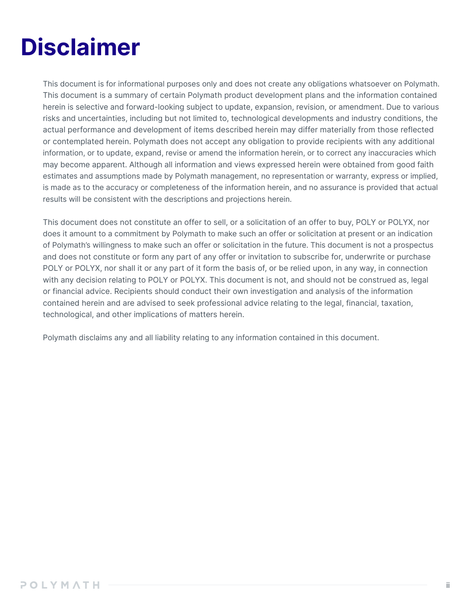### **Disclaimer**

This document is for informational purposes only and does not create any obligations whatsoever on Polymath. This document is a summary of certain Polymath product development plans and the information contained herein is selective and forward-looking subject to update, expansion, revision, or amendment. Due to various risks and uncertainties, including but not limited to, technological developments and industry conditions, the actual performance and development of items described herein may differ materially from those reflected or contemplated herein. Polymath does not accept any obligation to provide recipients with any additional information, or to update, expand, revise or amend the information herein, or to correct any inaccuracies which may become apparent. Although all information and views expressed herein were obtained from good faith estimates and assumptions made by Polymath management, no representation or warranty, express or implied, is made as to the accuracy or completeness of the information herein, and no assurance is provided that actual results will be consistent with the descriptions and projections herein.

This document does not constitute an offer to sell, or a solicitation of an offer to buy, POLY or POLYX, nor does it amount to a commitment by Polymath to make such an offer or solicitation at present or an indication of Polymath's willingness to make such an offer or solicitation in the future. This document is not a prospectus and does not constitute or form any part of any offer or invitation to subscribe for, underwrite or purchase POLY or POLYX, nor shall it or any part of it form the basis of, or be relied upon, in any way, in connection with any decision relating to POLY or POLYX. This document is not, and should not be construed as, legal or financial advice. Recipients should conduct their own investigation and analysis of the information contained herein and are advised to seek professional advice relating to the legal, financial, taxation, technological, and other implications of matters herein.

Polymath disclaims any and all liability relating to any information contained in this document.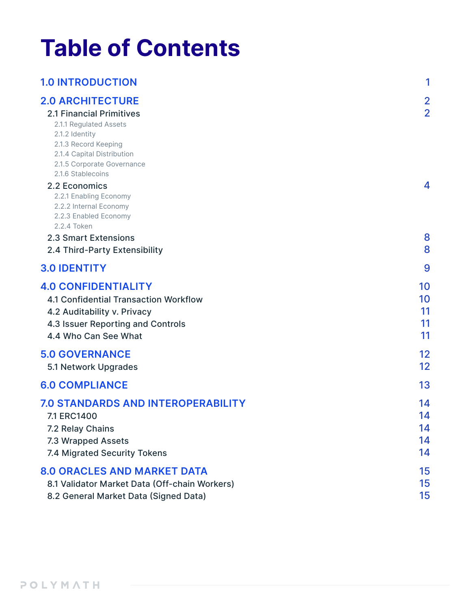### **Table of Contents**

| <b>1.0 INTRODUCTION</b>                                                                                                                                                                                         | 1                                |
|-----------------------------------------------------------------------------------------------------------------------------------------------------------------------------------------------------------------|----------------------------------|
| <b>2.0 ARCHITECTURE</b><br><b>2.1 Financial Primitives</b><br>2.1.1 Regulated Assets<br>2.1.2 Identity<br>2.1.3 Record Keeping<br>2.1.4 Capital Distribution<br>2.1.5 Corporate Governance<br>2.1.6 Stablecoins | $\overline{2}$<br>$\overline{2}$ |
| 2.2 Economics<br>2.2.1 Enabling Economy<br>2.2.2 Internal Economy<br>2.2.3 Enabled Economy<br>2.2.4 Token<br>2.3 Smart Extensions<br>2.4 Third-Party Extensibility                                              | 4<br>8<br>8                      |
| <b>3.0 IDENTITY</b>                                                                                                                                                                                             | 9                                |
| <b>4.0 CONFIDENTIALITY</b><br><b>4.1 Confidential Transaction Workflow</b><br>4.2 Auditability v. Privacy<br>4.3 Issuer Reporting and Controls<br>4.4 Who Can See What                                          | 10<br>10<br>11<br>11<br>11       |
| <b>5.0 GOVERNANCE</b><br>5.1 Network Upgrades                                                                                                                                                                   | 12<br>12                         |
| <b>6.0 COMPLIANCE</b>                                                                                                                                                                                           | 13                               |
| <b>7.0 STANDARDS AND INTEROPERABILITY</b><br>7.1 ERC1400<br>7.2 Relay Chains<br>7.3 Wrapped Assets<br>7.4 Migrated Security Tokens                                                                              | 14<br>14<br>14<br>14<br>14       |
| <b>8.0 ORACLES AND MARKET DATA</b><br>8.1 Validator Market Data (Off-chain Workers)<br>8.2 General Market Data (Signed Data)                                                                                    | 15<br>15<br>15                   |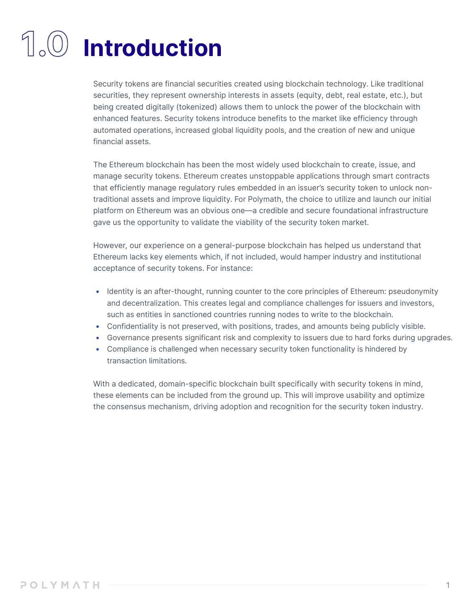## **1.0 Introduction**

Security tokens are financial securities created using blockchain technology. Like traditional securities, they represent ownership interests in assets (equity, debt, real estate, etc.), but being created digitally (tokenized) allows them to unlock the power of the blockchain with enhanced features. Security tokens introduce benefits to the market like efficiency through automated operations, increased global liquidity pools, and the creation of new and unique financial assets.

The Ethereum blockchain has been the most widely used blockchain to create, issue, and manage security tokens. Ethereum creates unstoppable applications through smart contracts that efficiently manage regulatory rules embedded in an issuer's security token to unlock nontraditional assets and improve liquidity. For Polymath, the choice to utilize and launch our initial platform on Ethereum was an obvious one—a credible and secure foundational infrastructure gave us the opportunity to validate the viability of the security token market.

However, our experience on a general-purpose blockchain has helped us understand that Ethereum lacks key elements which, if not included, would hamper industry and institutional acceptance of security tokens. For instance:

- Identity is an after-thought, running counter to the core principles of Ethereum: pseudonymity and decentralization. This creates legal and compliance challenges for issuers and investors, such as entities in sanctioned countries running nodes to write to the blockchain.
- Confidentiality is not preserved, with positions, trades, and amounts being publicly visible.
- Governance presents significant risk and complexity to issuers due to hard forks during upgrades.
- Compliance is challenged when necessary security token functionality is hindered by transaction limitations.

With a dedicated, domain-specific blockchain built specifically with security tokens in mind, these elements can be included from the ground up. This will improve usability and optimize the consensus mechanism, driving adoption and recognition for the security token industry.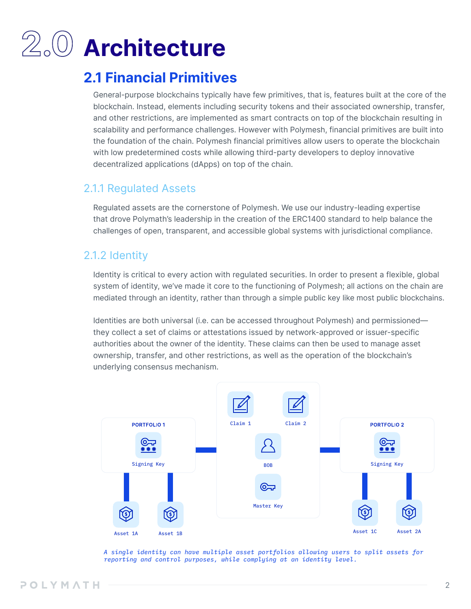## **2.0 Architecture**

### **2.1 Financial Primitives**

General-purpose blockchains typically have few primitives, that is, features built at the core of the blockchain. Instead, elements including security tokens and their associated ownership, transfer, and other restrictions, are implemented as smart contracts on top of the blockchain resulting in scalability and performance challenges. However with Polymesh, financial primitives are built into the foundation of the chain. Polymesh financial primitives allow users to operate the blockchain with low predetermined costs while allowing third-party developers to deploy innovative decentralized applications (dApps) on top of the chain.

### 2.1.1 Regulated Assets

Regulated assets are the cornerstone of Polymesh. We use our industry-leading expertise that drove Polymath's leadership in the creation of the ERC1400 standard to help balance the challenges of open, transparent, and accessible global systems with jurisdictional compliance.

### 2.1.2 Identity

Identity is critical to every action with regulated securities. In order to present a flexible, global system of identity, we've made it core to the functioning of Polymesh; all actions on the chain are mediated through an identity, rather than through a simple public key like most public blockchains.

Identities are both universal (i.e. can be accessed throughout Polymesh) and permissioned they collect a set of claims or attestations issued by network-approved or issuer-specific authorities about the owner of the identity. These claims can then be used to manage asset ownership, transfer, and other restrictions, as well as the operation of the blockchain's underlying consensus mechanism.



*A single identity can have multiple asset portfolios allowing users to split assets for reporting and control purposes, while complying at an identity level.*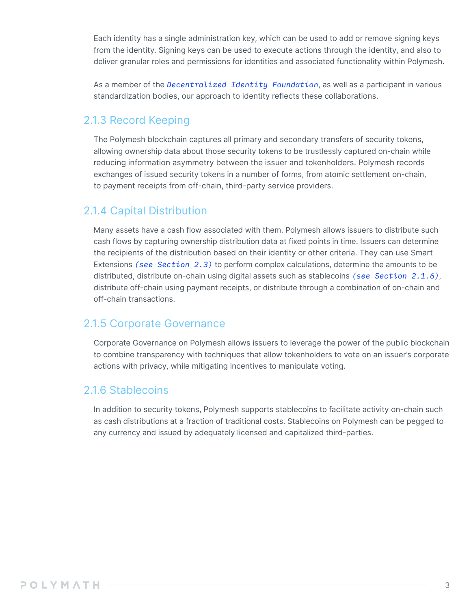Each identity has a single administration key, which can be used to add or remove signing keys from the identity. Signing keys can be used to execute actions through the identity, and also to deliver granular roles and permissions for identities and associated functionality within Polymesh.

As a member of the *Decentralized Identity Foundation*, as well as a participant in various standardization bodies, our approach to identity reflects these collaborations.

### 2.1.3 Record Keeping

The Polymesh blockchain captures all primary and secondary transfers of security tokens, allowing ownership data about those security tokens to be trustlessly captured on-chain while reducing information asymmetry between the issuer and tokenholders. Polymesh records exchanges of issued security tokens in a number of forms, from atomic settlement on-chain, to payment receipts from off-chain, third-party service providers.

### 2.1.4 Capital Distribution

Many assets have a cash flow associated with them. Polymesh allows issuers to distribute such cash flows by capturing ownership distribution data at fixed points in time. Issuers can determine the recipients of the distribution based on their identity or other criteria. They can use Smart Extensions *(see Section 2.3)* to perform complex calculations, determine the amounts to be distributed, distribute on-chain using digital assets such as stablecoins *(see Section 2.1.6)*, distribute off-chain using payment receipts, or distribute through a combination of on-chain and off-chain transactions.

### 2.1.5 Corporate Governance

Corporate Governance on Polymesh allows issuers to leverage the power of the public blockchain to combine transparency with techniques that allow tokenholders to vote on an issuer's corporate actions with privacy, while mitigating incentives to manipulate voting.

### 2.1.6 Stablecoins

In addition to security tokens, Polymesh supports stablecoins to facilitate activity on-chain such as cash distributions at a fraction of traditional costs. Stablecoins on Polymesh can be pegged to any currency and issued by adequately licensed and capitalized third-parties.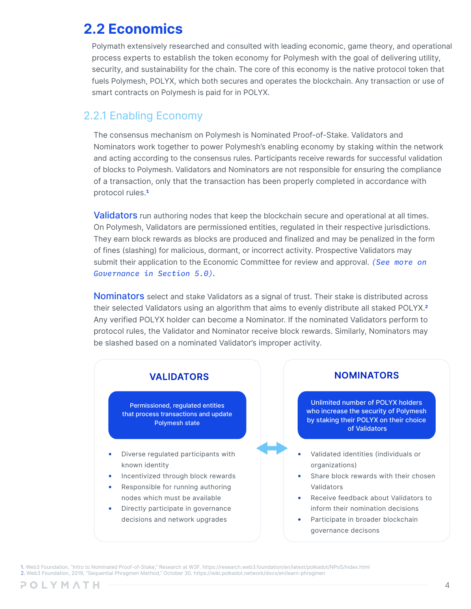### **2.2 Economics**

Polymath extensively researched and consulted with leading economic, game theory, and operational process experts to establish the token economy for Polymesh with the goal of delivering utility, security, and sustainability for the chain. The core of this economy is the native protocol token that fuels Polymesh, POLYX, which both secures and operates the blockchain. Any transaction or use of smart contracts on Polymesh is paid for in POLYX.

#### 2.2.1 Enabling Economy

The consensus mechanism on Polymesh is Nominated Proof-of-Stake. Validators and Nominators work together to power Polymesh's enabling economy by staking within the network and acting according to the consensus rules. Participants receive rewards for successful validation of blocks to Polymesh. Validators and Nominators are not responsible for ensuring the compliance of a transaction, only that the transaction has been properly completed in accordance with protocol rules.**<sup>1</sup>**

Validators run authoring nodes that keep the blockchain secure and operational at all times. On Polymesh, Validators are permissioned entities, regulated in their respective jurisdictions. They earn block rewards as blocks are produced and finalized and may be penalized in the form of fines (slashing) for malicious, dormant, or incorrect activity. Prospective Validators may submit their application to the Economic Committee for review and approval. *(See more on Governance in Section 5.0).*

**Nominators** select and stake Validators as a signal of trust. Their stake is distributed across their selected Validators using an algorithm that aims to evenly distribute all staked POLYX.**<sup>2</sup>** Any verified POLYX holder can become a Nominator. If the nominated Validators perform to protocol rules, the Validator and Nominator receive block rewards. Similarly, Nominators may be slashed based on a nominated Validator's improper activity.



1. Web3 Foundation, "Intro to Nominated Proof-of-Stake," Research at W3F. https://research.web3.foundation/en/latest/polkadot/NPoS/index.html 2. Web3 Foundation, 2019, "Sequential Phragmen Method," October 30. https://wiki.polkadot.network/docs/en/learn-phragmen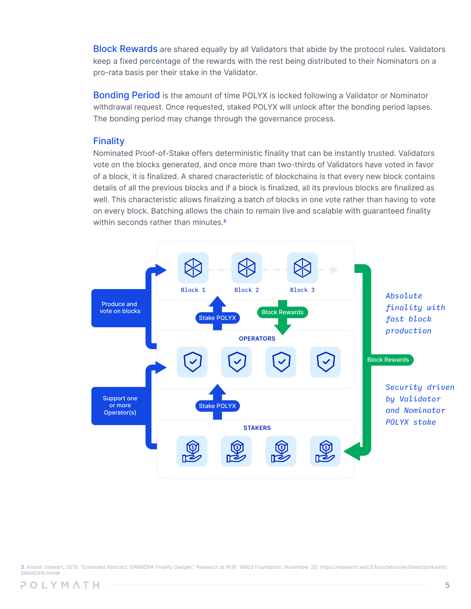**Block Rewards** are shared equally by all Validators that abide by the protocol rules. Validators keep a fixed percentage of the rewards with the rest being distributed to their Nominators on a pro-rata basis per their stake in the Validator.

**Bonding Period** is the amount of time POLYX is locked following a Validator or Nominator withdrawal request. Once requested, staked POLYX will unlock after the bonding period lapses. The bonding period may change through the governance process.

#### **Finality**

Nominated Proof-of-Stake offers deterministic finality that can be instantly trusted. Validators vote on the blocks generated, and once more than two-thirds of Validators have voted in favor of a block, it is finalized. A shared characteristic of blockchains is that every new block contains details of all the previous blocks and if a block is finalized, all its previous blocks are finalized as well. This characteristic allows finalizing a batch of blocks in one vote rather than having to vote on every block. Batching allows the chain to remain live and scalable with guaranteed finality within seconds rather than minutes.**<sup>3</sup>**



3. Alistair Stewart, 2019, "Extended Abstract: GRANDPA Finality Gadget," Research at W3F, Web3 Foundation, November 20, https://research.web3.foundation/en/latest/polkadot/ GRANDPA.html#

POLYMATH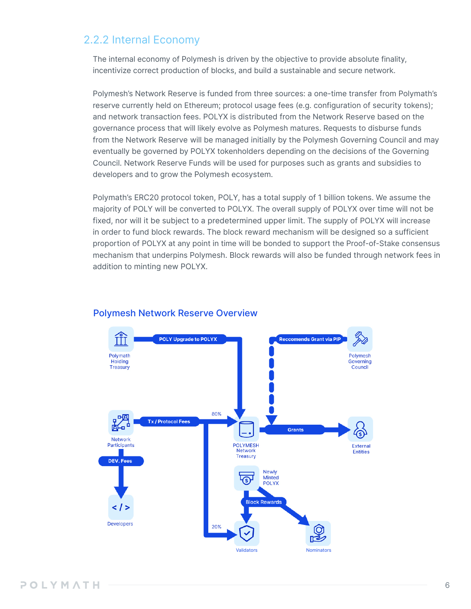### 2.2.2 Internal Economy

The internal economy of Polymesh is driven by the objective to provide absolute finality, incentivize correct production of blocks, and build a sustainable and secure network.

Polymesh's Network Reserve is funded from three sources: a one-time transfer from Polymath's reserve currently held on Ethereum; protocol usage fees (e.g. configuration of security tokens); and network transaction fees. POLYX is distributed from the Network Reserve based on the governance process that will likely evolve as Polymesh matures. Requests to disburse funds from the Network Reserve will be managed initially by the Polymesh Governing Council and may eventually be governed by POLYX tokenholders depending on the decisions of the Governing Council. Network Reserve Funds will be used for purposes such as grants and subsidies to developers and to grow the Polymesh ecosystem.

Polymath's ERC20 protocol token, POLY, has a total supply of 1 billion tokens. We assume the majority of POLY will be converted to POLYX. The overall supply of POLYX over time will not be fixed, nor will it be subject to a predetermined upper limit. The supply of POLYX will increase in order to fund block rewards. The block reward mechanism will be designed so a sufficient proportion of POLYX at any point in time will be bonded to support the Proof-of-Stake consensus mechanism that underpins Polymesh. Block rewards will also be funded through network fees in addition to minting new POLYX.



#### Polymesh Network Reserve Overview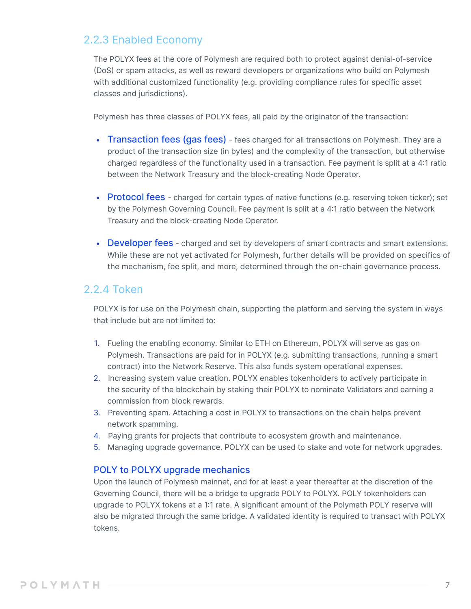#### 2.2.3 Enabled Economy

The POLYX fees at the core of Polymesh are required both to protect against denial-of-service (DoS) or spam attacks, as well as reward developers or organizations who build on Polymesh with additional customized functionality (e.g. providing compliance rules for specific asset classes and jurisdictions).

Polymesh has three classes of POLYX fees, all paid by the originator of the transaction:

- Transaction fees (gas fees) fees charged for all transactions on Polymesh. They are a product of the transaction size (in bytes) and the complexity of the transaction, but otherwise charged regardless of the functionality used in a transaction. Fee payment is split at a 4:1 ratio between the Network Treasury and the block-creating Node Operator.
- Protocol fees charged for certain types of native functions (e.g. reserving token ticker); set by the Polymesh Governing Council. Fee payment is split at a 4:1 ratio between the Network Treasury and the block-creating Node Operator.
- Developer fees charged and set by developers of smart contracts and smart extensions. While these are not yet activated for Polymesh, further details will be provided on specifics of the mechanism, fee split, and more, determined through the on-chain governance process.

#### 2.2.4 Token

POLYX is for use on the Polymesh chain, supporting the platform and serving the system in ways that include but are not limited to:

- 1. Fueling the enabling economy. Similar to ETH on Ethereum, POLYX will serve as gas on Polymesh. Transactions are paid for in POLYX (e.g. submitting transactions, running a smart contract) into the Network Reserve. This also funds system operational expenses.
- 2. Increasing system value creation. POLYX enables tokenholders to actively participate in the security of the blockchain by staking their POLYX to nominate Validators and earning a commission from block rewards.
- 3. Preventing spam. Attaching a cost in POLYX to transactions on the chain helps prevent network spamming.
- 4. Paying grants for projects that contribute to ecosystem growth and maintenance.
- 5. Managing upgrade governance. POLYX can be used to stake and vote for network upgrades.

#### POLY to POLYX upgrade mechanics

Upon the launch of Polymesh mainnet, and for at least a year thereafter at the discretion of the Governing Council, there will be a bridge to upgrade POLY to POLYX. POLY tokenholders can upgrade to POLYX tokens at a 1:1 rate. A significant amount of the Polymath POLY reserve will also be migrated through the same bridge. A validated identity is required to transact with POLYX tokens.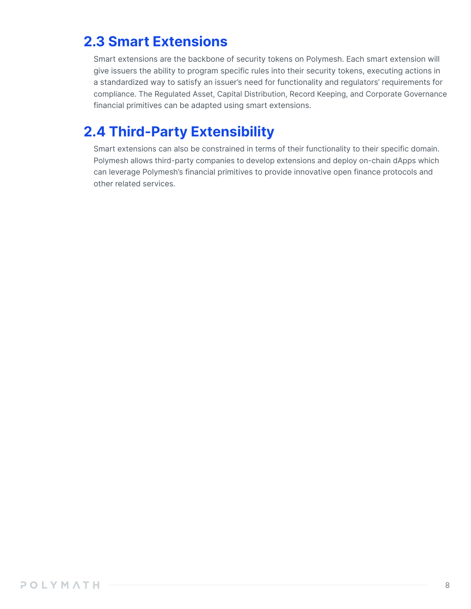### **2.3 Smart Extensions**

Smart extensions are the backbone of security tokens on Polymesh. Each smart extension will give issuers the ability to program specific rules into their security tokens, executing actions in a standardized way to satisfy an issuer's need for functionality and regulators' requirements for compliance. The Regulated Asset, Capital Distribution, Record Keeping, and Corporate Governance financial primitives can be adapted using smart extensions.

### **2.4 Third-Party Extensibility**

Smart extensions can also be constrained in terms of their functionality to their specific domain. Polymesh allows third-party companies to develop extensions and deploy on-chain dApps which can leverage Polymesh's financial primitives to provide innovative open finance protocols and other related services.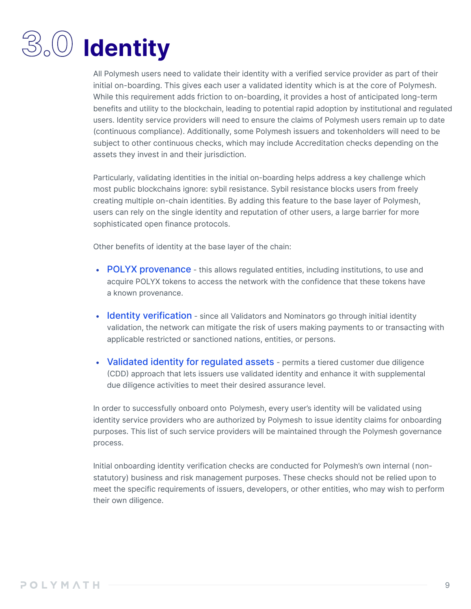## **3.0 Identity**

All Polymesh users need to validate their identity with a verified service provider as part of their initial on-boarding. This gives each user a validated identity which is at the core of Polymesh. While this requirement adds friction to on-boarding, it provides a host of anticipated long-term benefits and utility to the blockchain, leading to potential rapid adoption by institutional and regulated users. Identity service providers will need to ensure the claims of Polymesh users remain up to date (continuous compliance). Additionally, some Polymesh issuers and tokenholders will need to be subject to other continuous checks, which may include Accreditation checks depending on the assets they invest in and their jurisdiction.

Particularly, validating identities in the initial on-boarding helps address a key challenge which most public blockchains ignore: sybil resistance. Sybil resistance blocks users from freely creating multiple on-chain identities. By adding this feature to the base layer of Polymesh, users can rely on the single identity and reputation of other users, a large barrier for more sophisticated open finance protocols.

Other benefits of identity at the base layer of the chain:

- POLYX provenance this allows requiated entities, including institutions, to use and acquire POLYX tokens to access the network with the confidence that these tokens have a known provenance.
- Identity verification since all Validators and Nominators go through initial identity validation, the network can mitigate the risk of users making payments to or transacting with applicable restricted or sanctioned nations, entities, or persons.
- Validated identity for requiated assets permits a tiered customer due diligence (CDD) approach that lets issuers use validated identity and enhance it with supplemental due diligence activities to meet their desired assurance level.

In order to successfully onboard onto Polymesh, every user's identity will be validated using identity service providers who are authorized by Polymesh to issue identity claims for onboarding purposes. This list of such service providers will be maintained through the Polymesh governance process.

Initial onboarding identity verification checks are conducted for Polymesh's own internal (nonstatutory) business and risk management purposes. These checks should not be relied upon to meet the specific requirements of issuers, developers, or other entities, who may wish to perform their own diligence.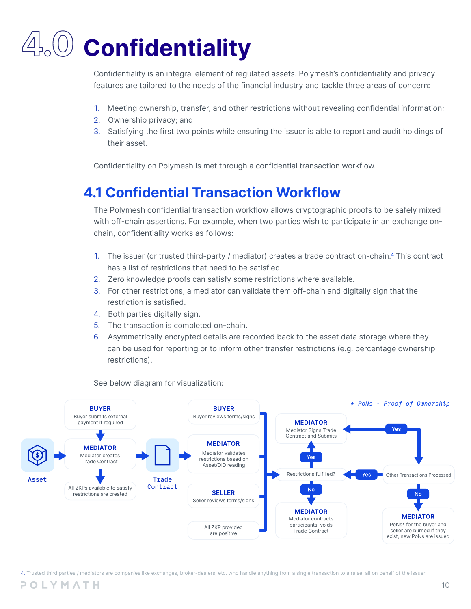## **4.0 Confidentiality**

Confidentiality is an integral element of regulated assets. Polymesh's confidentiality and privacy features are tailored to the needs of the financial industry and tackle three areas of concern:

- 1. Meeting ownership, transfer, and other restrictions without revealing confidential information;
- 2. Ownership privacy; and
- 3. Satisfying the first two points while ensuring the issuer is able to report and audit holdings of their asset.

Confidentiality on Polymesh is met through a confidential transaction workflow.

### **4.1 Confidential Transaction Workflow**

The Polymesh confidential transaction workflow allows cryptographic proofs to be safely mixed with off-chain assertions. For example, when two parties wish to participate in an exchange onchain, confidentiality works as follows:

- 1. The issuer (or trusted third-party / mediator) creates a trade contract on-chain.**<sup>4</sup>** This contract has a list of restrictions that need to be satisfied.
- 2. Zero knowledge proofs can satisfy some restrictions where available.
- 3. For other restrictions, a mediator can validate them off-chain and digitally sign that the restriction is satisfied.
- 4. Both parties digitally sign.
- 5. The transaction is completed on-chain.
- 6. Asymmetrically encrypted details are recorded back to the asset data storage where they can be used for reporting or to inform other transfer restrictions (e.g. percentage ownership restrictions).



See below diagram for visualization: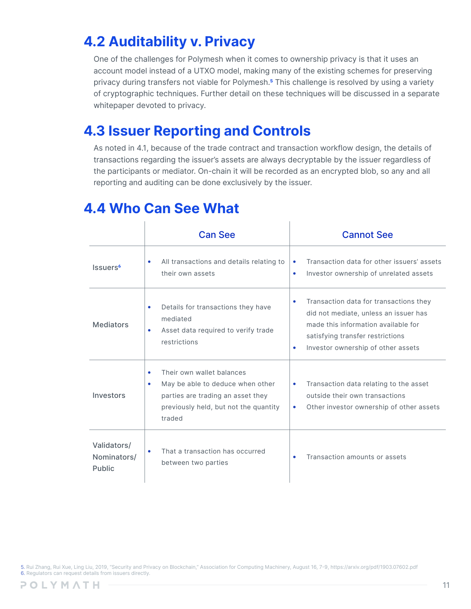### **4.2 Auditability v. Privacy**

One of the challenges for Polymesh when it comes to ownership privacy is that it uses an account model instead of a UTXO model, making many of the existing schemes for preserving privacy during transfers not viable for Polymesh.**<sup>5</sup>** This challenge is resolved by using a variety of cryptographic techniques. Further detail on these techniques will be discussed in a separate whitepaper devoted to privacy.

### **4.3 Issuer Reporting and Controls**

As noted in 4.1, because of the trade contract and transaction workflow design, the details of transactions regarding the issuer's assets are always decryptable by the issuer regardless of the participants or mediator. On-chain it will be recorded as an encrypted blob, so any and all reporting and auditing can be done exclusively by the issuer.

|                                      | <b>Can See</b>                                                                                                                                                  | <b>Cannot See</b>                                                                                                                                                                                          |
|--------------------------------------|-----------------------------------------------------------------------------------------------------------------------------------------------------------------|------------------------------------------------------------------------------------------------------------------------------------------------------------------------------------------------------------|
| Issuers <sup>6</sup>                 | All transactions and details relating to<br>$\bullet$<br>their own assets                                                                                       | Transaction data for other issuers' assets<br>۰<br>Investor ownership of unrelated assets<br>۰                                                                                                             |
| <b>Mediators</b>                     | Details for transactions they have<br>$\bullet$<br>mediated<br>Asset data required to verify trade<br>$\bullet$<br>restrictions                                 | Transaction data for transactions they<br>٠<br>did not mediate, unless an issuer has<br>made this information available for<br>satisfying transfer restrictions<br>Investor ownership of other assets<br>۰ |
| Investors                            | Their own wallet balances<br>٠<br>May be able to deduce when other<br>٠<br>parties are trading an asset they<br>previously held, but not the quantity<br>traded | Transaction data relating to the asset<br>$\bullet$<br>outside their own transactions<br>Other investor ownership of other assets<br>$\bullet$                                                             |
| Validators/<br>Nominators/<br>Public | That a transaction has occurred<br>$\bullet$<br>between two parties                                                                                             | Transaction amounts or assets<br>۰                                                                                                                                                                         |

### **4.4 Who Can See What**

5. Rui Zhang, Rui Xue, Ling Liu, 2019, "Security and Privacy on Blockchain," Association for Computing Machinery, August 16, 7-9, https://arxiv.org/pdf/1903.07602.pdf 6. Regulators can request details from issuers directly.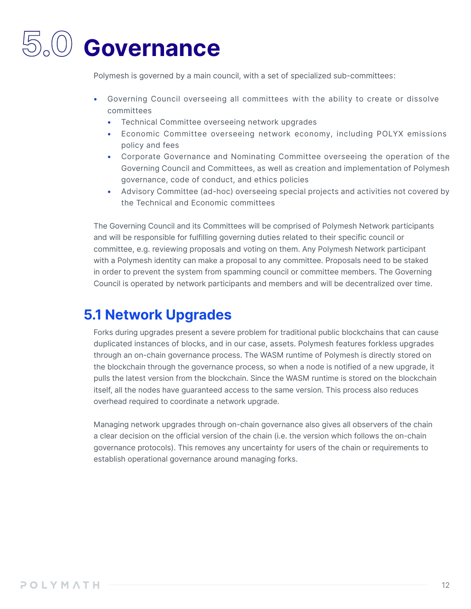## **5.0 Governance**

Polymesh is governed by a main council, with a set of specialized sub-committees:

- Governing Council overseeing all committees with the ability to create or dissolve committees
	- Technical Committee overseeing network upgrades
	- Economic Committee overseeing network economy, including POLYX emissions policy and fees
	- Corporate Governance and Nominating Committee overseeing the operation of the Governing Council and Committees, as well as creation and implementation of Polymesh governance, code of conduct, and ethics policies
	- Advisory Committee (ad-hoc) overseeing special projects and activities not covered by the Technical and Economic committees

The Governing Council and its Committees will be comprised of Polymesh Network participants and will be responsible for fulfilling governing duties related to their specific council or committee, e.g. reviewing proposals and voting on them. Any Polymesh Network participant with a Polymesh identity can make a proposal to any committee. Proposals need to be staked in order to prevent the system from spamming council or committee members. The Governing Council is operated by network participants and members and will be decentralized over time.

### **5.1 Network Upgrades**

Forks during upgrades present a severe problem for traditional public blockchains that can cause duplicated instances of blocks, and in our case, assets. Polymesh features forkless upgrades through an on-chain governance process. The WASM runtime of Polymesh is directly stored on the blockchain through the governance process, so when a node is notified of a new upgrade, it pulls the latest version from the blockchain. Since the WASM runtime is stored on the blockchain itself, all the nodes have guaranteed access to the same version. This process also reduces overhead required to coordinate a network upgrade.

Managing network upgrades through on-chain governance also gives all observers of the chain a clear decision on the official version of the chain (i.e. the version which follows the on-chain governance protocols). This removes any uncertainty for users of the chain or requirements to establish operational governance around managing forks.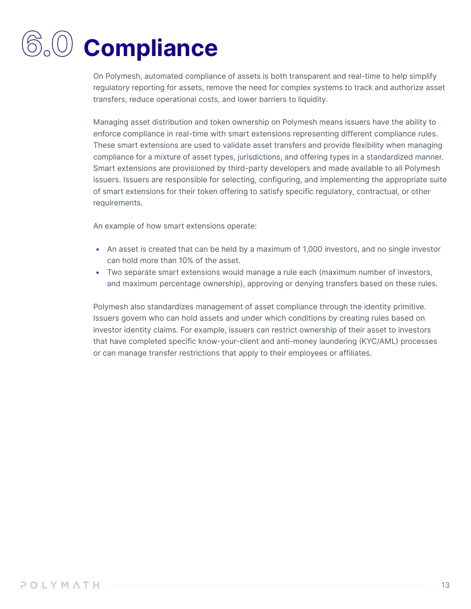## **6.0 Compliance**

On Polymesh, automated compliance of assets is both transparent and real-time to help simplify regulatory reporting for assets, remove the need for complex systems to track and authorize asset transfers, reduce operational costs, and lower barriers to liquidity.

Managing asset distribution and token ownership on Polymesh means issuers have the ability to enforce compliance in real-time with smart extensions representing different compliance rules. These smart extensions are used to validate asset transfers and provide flexibility when managing compliance for a mixture of asset types, jurisdictions, and offering types in a standardized manner. Smart extensions are provisioned by third-party developers and made available to all Polymesh issuers. Issuers are responsible for selecting, configuring, and implementing the appropriate suite of smart extensions for their token offering to satisfy specific regulatory, contractual, or other requirements.

An example of how smart extensions operate:

- An asset is created that can be held by a maximum of 1,000 investors, and no single investor can hold more than 10% of the asset.
- Two separate smart extensions would manage a rule each (maximum number of investors, and maximum percentage ownership), approving or denying transfers based on these rules.

Polymesh also standardizes management of asset compliance through the identity primitive. Issuers govern who can hold assets and under which conditions by creating rules based on investor identity claims. For example, issuers can restrict ownership of their asset to investors that have completed specific know-your-client and anti-money laundering (KYC/AML) processes or can manage transfer restrictions that apply to their employees or affiliates.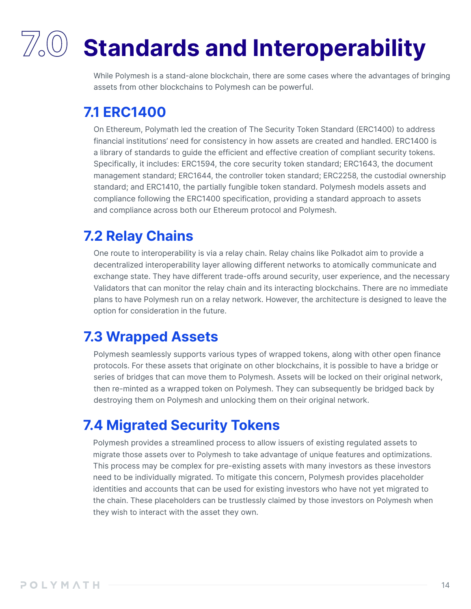## **7.0 Standards and Interoperability**

While Polymesh is a stand-alone blockchain, there are some cases where the advantages of bringing assets from other blockchains to Polymesh can be powerful.

### **7.1 ERC1400**

On Ethereum, Polymath led the creation of The Security Token Standard (ERC1400) to address financial institutions' need for consistency in how assets are created and handled. ERC1400 is a library of standards to guide the efficient and effective creation of compliant security tokens. Specifically, it includes: ERC1594, the core security token standard; ERC1643, the document management standard; ERC1644, the controller token standard; ERC2258, the custodial ownership standard; and ERC1410, the partially fungible token standard. Polymesh models assets and compliance following the ERC1400 specification, providing a standard approach to assets and compliance across both our Ethereum protocol and Polymesh.

### **7.2 Relay Chains**

One route to interoperability is via a relay chain. Relay chains like Polkadot aim to provide a decentralized interoperability layer allowing different networks to atomically communicate and exchange state. They have different trade-offs around security, user experience, and the necessary Validators that can monitor the relay chain and its interacting blockchains. There are no immediate plans to have Polymesh run on a relay network. However, the architecture is designed to leave the option for consideration in the future.

### **7.3 Wrapped Assets**

Polymesh seamlessly supports various types of wrapped tokens, along with other open finance protocols. For these assets that originate on other blockchains, it is possible to have a bridge or series of bridges that can move them to Polymesh. Assets will be locked on their original network, then re-minted as a wrapped token on Polymesh. They can subsequently be bridged back by destroying them on Polymesh and unlocking them on their original network.

### **7.4 Migrated Security Tokens**

Polymesh provides a streamlined process to allow issuers of existing regulated assets to migrate those assets over to Polymesh to take advantage of unique features and optimizations. This process may be complex for pre-existing assets with many investors as these investors need to be individually migrated. To mitigate this concern, Polymesh provides placeholder identities and accounts that can be used for existing investors who have not yet migrated to the chain. These placeholders can be trustlessly claimed by those investors on Polymesh when they wish to interact with the asset they own.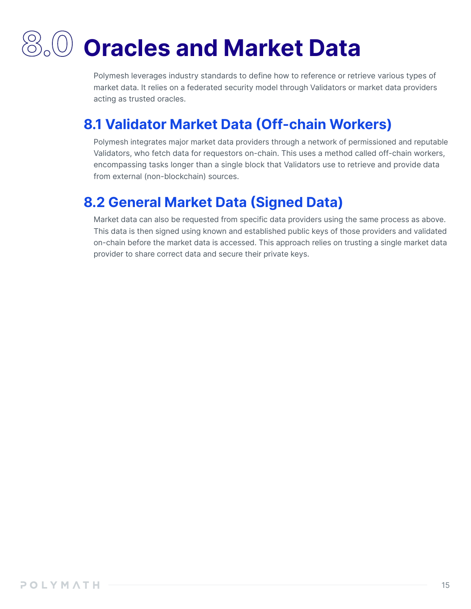### **8.0 Oracles and Market Data**

Polymesh leverages industry standards to define how to reference or retrieve various types of market data. It relies on a federated security model through Validators or market data providers acting as trusted oracles.

### **8.1 Validator Market Data (Off-chain Workers)**

Polymesh integrates major market data providers through a network of permissioned and reputable Validators, who fetch data for requestors on-chain. This uses a method called off-chain workers, encompassing tasks longer than a single block that Validators use to retrieve and provide data from external (non-blockchain) sources.

### **8.2 General Market Data (Signed Data)**

Market data can also be requested from specific data providers using the same process as above. This data is then signed using known and established public keys of those providers and validated on-chain before the market data is accessed. This approach relies on trusting a single market data provider to share correct data and secure their private keys.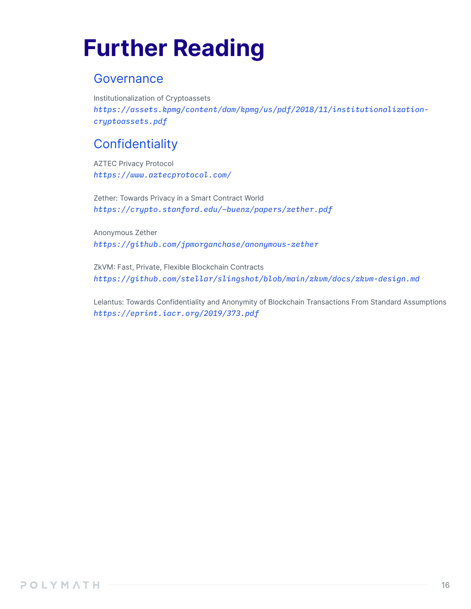### **Further Reading**

### Governance

Institutionalization of Cryptoassets *https://assets.kpmg/content/dam/kpmg/us/pdf/2018/11/institutionalizationcryptoassets.pdf*

### **Confidentiality**

AZTEC Privacy Protocol *https://www.aztecprotocol.com/* 

Zether: Towards Privacy in a Smart Contract World *https://crypto.stanford.edu/~buenz/papers/zether.pdf* 

Anonymous Zether *https://github.com/jpmorganchase/anonymous-zether* 

ZkVM: Fast, Private, Flexible Blockchain Contracts *https://github.com/stellar/slingshot/blob/main/zkvm/docs/zkvm-design.md* 

Lelantus: Towards Confidentiality and Anonymity of Blockchain Transactions From Standard Assumptions *https://eprint.iacr.org/2019/373.pdf*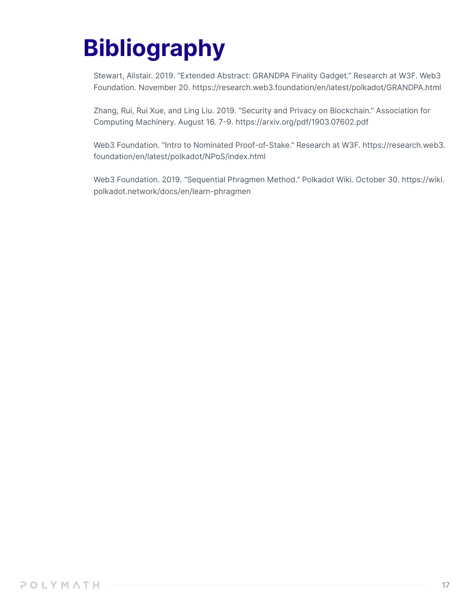### **Bibliography**

Stewart, Alistair. 2019. "Extended Abstract: GRANDPA Finality Gadget." Research at W3F. Web3 Foundation. November 20. https://research.web3.foundation/en/latest/polkadot/GRANDPA.html

Zhang, Rui, Rui Xue, and Ling Liu. 2019. "Security and Privacy on Blockchain." Association for Computing Machinery. August 16. 7-9. https://arxiv.org/pdf/1903.07602.pdf

Web3 Foundation. "Intro to Nominated Proof-of-Stake." Research at W3F. https://research.web3. foundation/en/latest/polkadot/NPoS/index.html

Web3 Foundation. 2019. "Sequential Phragmen Method." Polkadot Wiki. October 30. https://wiki. polkadot.network/docs/en/learn-phragmen